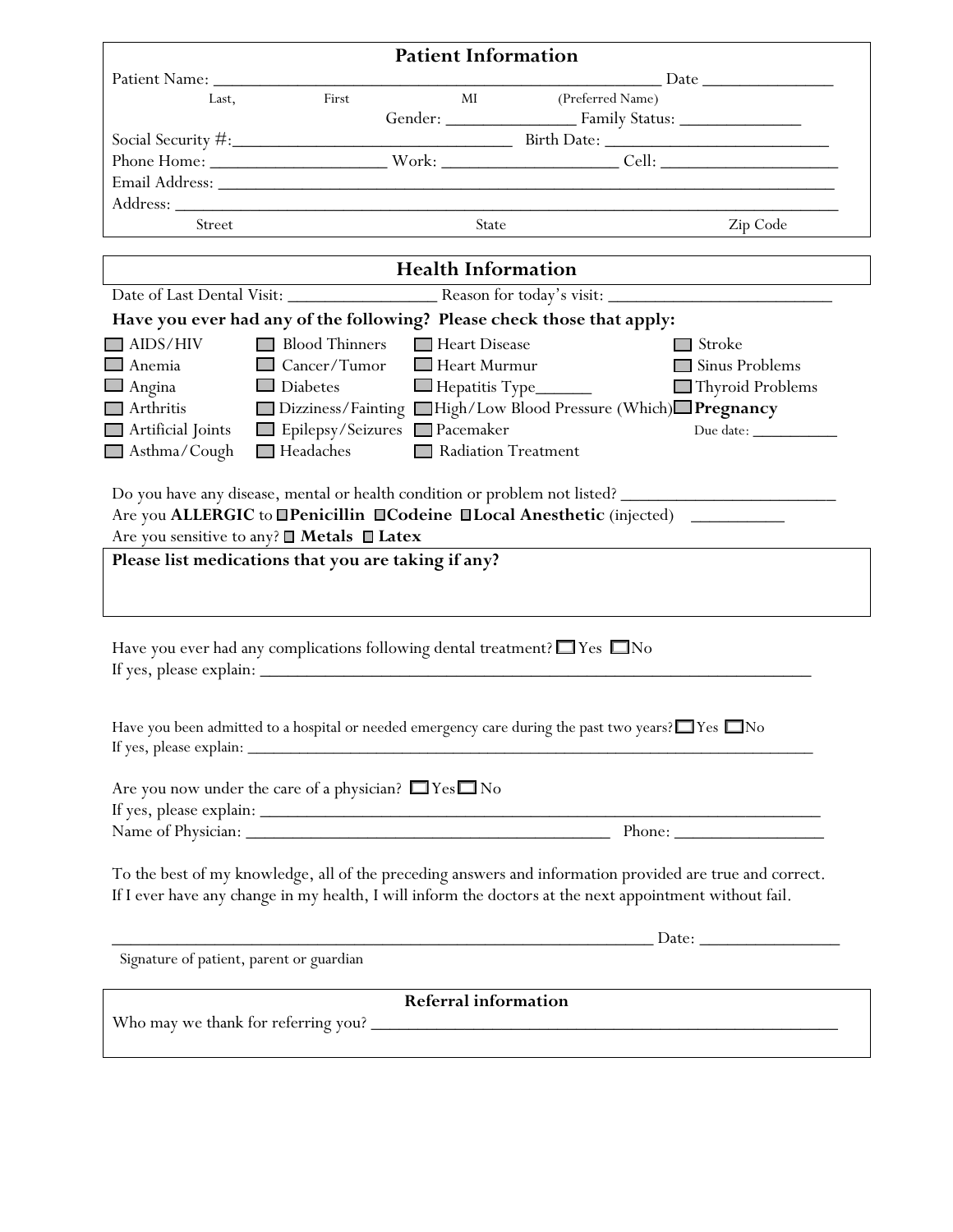| <b>Patient Information</b>               |                                                                                                         |                              |                                                                                                                        |                                                                                                          |  |  |  |
|------------------------------------------|---------------------------------------------------------------------------------------------------------|------------------------------|------------------------------------------------------------------------------------------------------------------------|----------------------------------------------------------------------------------------------------------|--|--|--|
|                                          |                                                                                                         |                              |                                                                                                                        |                                                                                                          |  |  |  |
|                                          |                                                                                                         |                              |                                                                                                                        |                                                                                                          |  |  |  |
|                                          |                                                                                                         |                              |                                                                                                                        |                                                                                                          |  |  |  |
|                                          |                                                                                                         |                              |                                                                                                                        |                                                                                                          |  |  |  |
|                                          |                                                                                                         |                              |                                                                                                                        |                                                                                                          |  |  |  |
|                                          |                                                                                                         |                              |                                                                                                                        |                                                                                                          |  |  |  |
| Street                                   |                                                                                                         | State                        |                                                                                                                        | Zip Code                                                                                                 |  |  |  |
|                                          |                                                                                                         |                              | <u> 1990 - John Barbara (</u> 1990 - 1990 - 1990 - 1990 - 1990 - 1990 - 1990 - 1990 - 1990 - 1990 - 1990 - 1990 - 1990 |                                                                                                          |  |  |  |
|                                          | <b>Health Information</b>                                                                               |                              |                                                                                                                        |                                                                                                          |  |  |  |
|                                          |                                                                                                         |                              |                                                                                                                        |                                                                                                          |  |  |  |
|                                          | Have you ever had any of the following? Please check those that apply:                                  |                              |                                                                                                                        |                                                                                                          |  |  |  |
| $\Box$ AIDS/HIV                          | Blood Thinners Heart Disease                                                                            |                              |                                                                                                                        | $\Box$ Stroke                                                                                            |  |  |  |
| $\Box$ Anemia                            | Cancer/Tumor Heart Murmur                                                                               |                              |                                                                                                                        | Sinus Problems                                                                                           |  |  |  |
| $\Box$ Angina                            | $\Box$ Diabetes                                                                                         | $\Box$ Hepatitis Type $\Box$ |                                                                                                                        | Thyroid Problems                                                                                         |  |  |  |
| Arthritis                                | Dizziness/Fainting High/Low Blood Pressure (Which) Pregnancy                                            |                              |                                                                                                                        |                                                                                                          |  |  |  |
| Artificial Joints                        | Epilepsy/Seizures Pacemaker                                                                             |                              |                                                                                                                        |                                                                                                          |  |  |  |
| Asthma/Cough                             | $\Box$ Headaches                                                                                        | Radiation Treatment          |                                                                                                                        |                                                                                                          |  |  |  |
|                                          |                                                                                                         |                              |                                                                                                                        |                                                                                                          |  |  |  |
|                                          | Have you ever had any complications following dental treatment? $\Box$ Yes $\Box$ No                    |                              |                                                                                                                        |                                                                                                          |  |  |  |
| If yes, please explain: _                | Have you been admitted to a hospital or needed emergency care during the past two years? TYes No        |                              |                                                                                                                        |                                                                                                          |  |  |  |
|                                          | Are you now under the care of a physician? $\Box$ Yes $\Box$ No                                         |                              |                                                                                                                        |                                                                                                          |  |  |  |
|                                          |                                                                                                         |                              |                                                                                                                        |                                                                                                          |  |  |  |
|                                          |                                                                                                         |                              |                                                                                                                        |                                                                                                          |  |  |  |
|                                          | If I ever have any change in my health, I will inform the doctors at the next appointment without fail. |                              |                                                                                                                        | To the best of my knowledge, all of the preceding answers and information provided are true and correct. |  |  |  |
|                                          |                                                                                                         |                              |                                                                                                                        |                                                                                                          |  |  |  |
| Signature of patient, parent or guardian |                                                                                                         |                              |                                                                                                                        |                                                                                                          |  |  |  |
| <b>Referral information</b>              |                                                                                                         |                              |                                                                                                                        |                                                                                                          |  |  |  |
|                                          |                                                                                                         |                              |                                                                                                                        |                                                                                                          |  |  |  |
|                                          |                                                                                                         |                              |                                                                                                                        |                                                                                                          |  |  |  |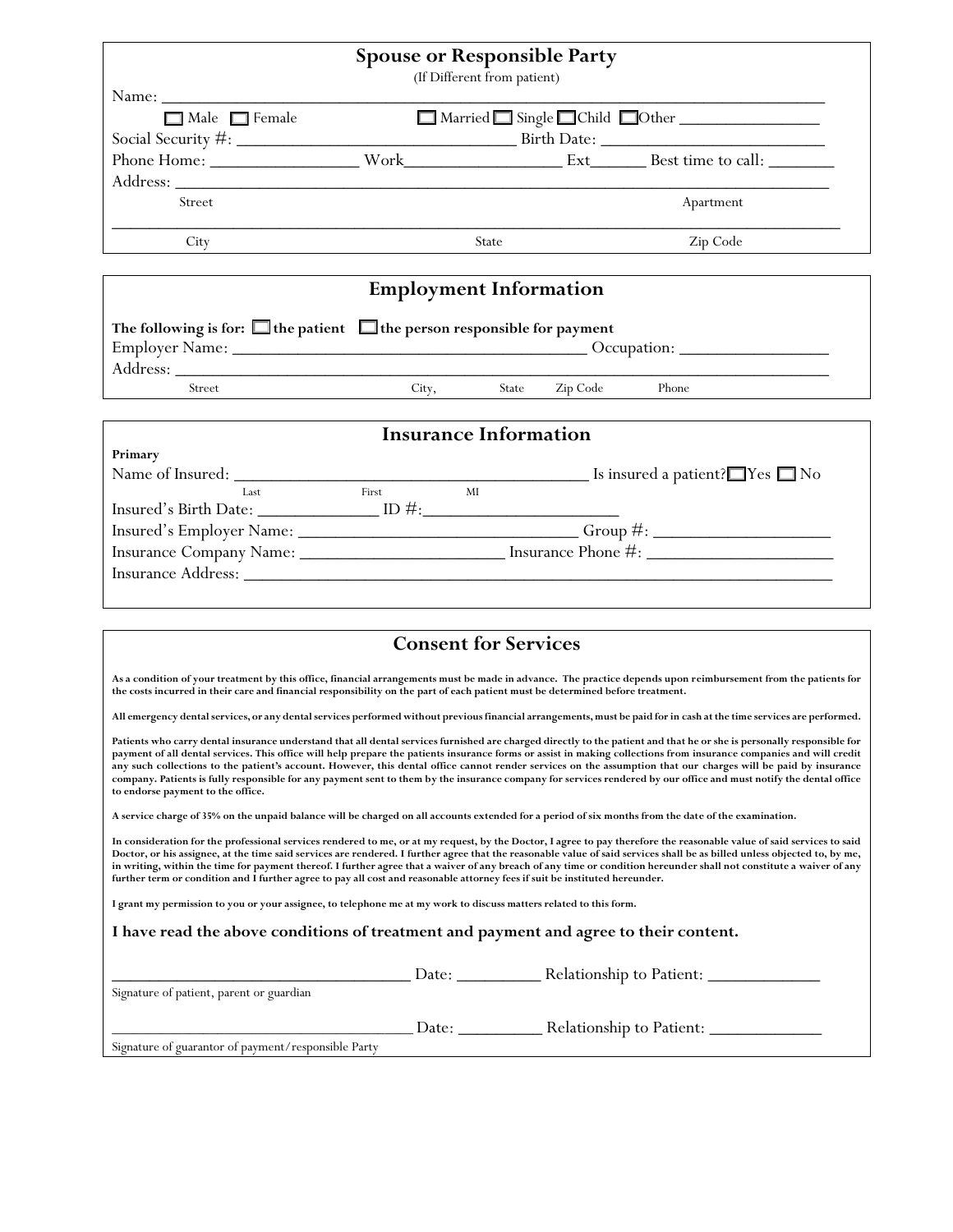|                                                                                                                                                                                                                                                                                                  | <b>Spouse or Responsible Party</b> | (If Different from patient) |  |                            |  |  |
|--------------------------------------------------------------------------------------------------------------------------------------------------------------------------------------------------------------------------------------------------------------------------------------------------|------------------------------------|-----------------------------|--|----------------------------|--|--|
| $Name: \_$                                                                                                                                                                                                                                                                                       |                                    |                             |  |                            |  |  |
| $\Box$ Male $\Box$ Female                                                                                                                                                                                                                                                                        |                                    |                             |  | Married Single Child Other |  |  |
|                                                                                                                                                                                                                                                                                                  |                                    |                             |  |                            |  |  |
|                                                                                                                                                                                                                                                                                                  |                                    |                             |  |                            |  |  |
|                                                                                                                                                                                                                                                                                                  |                                    |                             |  |                            |  |  |
| Street                                                                                                                                                                                                                                                                                           |                                    |                             |  | Apartment                  |  |  |
| City                                                                                                                                                                                                                                                                                             |                                    | State                       |  | Zip Code                   |  |  |
| <b>Employment Information</b>                                                                                                                                                                                                                                                                    |                                    |                             |  |                            |  |  |
| The following is for: $\Box$ the patient $\Box$ the person responsible for payment                                                                                                                                                                                                               |                                    |                             |  |                            |  |  |
|                                                                                                                                                                                                                                                                                                  |                                    |                             |  |                            |  |  |
| Street                                                                                                                                                                                                                                                                                           | City, State Zip Code Phone         |                             |  |                            |  |  |
| <b>Insurance Information</b>                                                                                                                                                                                                                                                                     |                                    |                             |  |                            |  |  |
| Primary                                                                                                                                                                                                                                                                                          |                                    |                             |  |                            |  |  |
| Last<br>$\label{eq:1} \begin{minipage}[c]{0.9\linewidth} \hspace*{0.2cm} \textbf{Insured's Birth Date:} \begin{minipage}[c]{0.9\linewidth} \normalsize \textbf{ID } \# \textbf{:=} \normalsize \textbf{ID} \end{minipage} \vspace*{-0.2cm}$                                                      | First                              | MI                          |  |                            |  |  |
|                                                                                                                                                                                                                                                                                                  |                                    |                             |  |                            |  |  |
|                                                                                                                                                                                                                                                                                                  |                                    |                             |  |                            |  |  |
|                                                                                                                                                                                                                                                                                                  |                                    |                             |  |                            |  |  |
|                                                                                                                                                                                                                                                                                                  |                                    |                             |  |                            |  |  |
| <b>Consent for Services</b>                                                                                                                                                                                                                                                                      |                                    |                             |  |                            |  |  |
| As a condition of your treatment by this office, financial arrangements must be made in advance. The practice depends upon reimbursement from the patients for<br>the costs incurred in their care and financial responsibility on the part of each patient must be determined before treatment. |                                    |                             |  |                            |  |  |

**All emergency dental services, or any dental services performed without previous financial arrangements, must be paid for in cash at the time services are performed.**

**Patients who carry dental insurance understand that all dental services furnished are charged directly to the patient and that he or she is personally responsible for payment of all dental services. This office will help prepare the patients insurance forms or assist in making collections from insurance companies and will credit any such collections to the patient's account. However, this dental office cannot render services on the assumption that our charges will be paid by insurance company. Patients is fully responsible for any payment sent to them by the insurance company for services rendered by our office and must notify the dental office to endorse payment to the office.**

**A service charge of 35% on the unpaid balance will be charged on all accounts extended for a period of six months from the date of the examination.**

**In consideration for the professional services rendered to me, or at my request, by the Doctor, I agree to pay therefore the reasonable value of said services to said Doctor, or his assignee, at the time said services are rendered. I further agree that the reasonable value of said services shall be as billed unless objected to, by me, in writing, within the time for payment thereof. I further agree that a waiver of any breach of any time or condition hereunder shall not constitute a waiver of any further term or condition and I further agree to pay all cost and reasonable attorney fees if suit be instituted hereunder.**

**I grant my permission to you or your assignee, to telephone me at my work to discuss matters related to this form.**

## **I have read the above conditions of treatment and payment and agree to their content.**

|                                                     | Date: | Relationship to Patient: |
|-----------------------------------------------------|-------|--------------------------|
| Signature of patient, parent or guardian            |       |                          |
|                                                     | Date: | Relationship to Patient: |
| Signature of guarantor of payment/responsible Party |       |                          |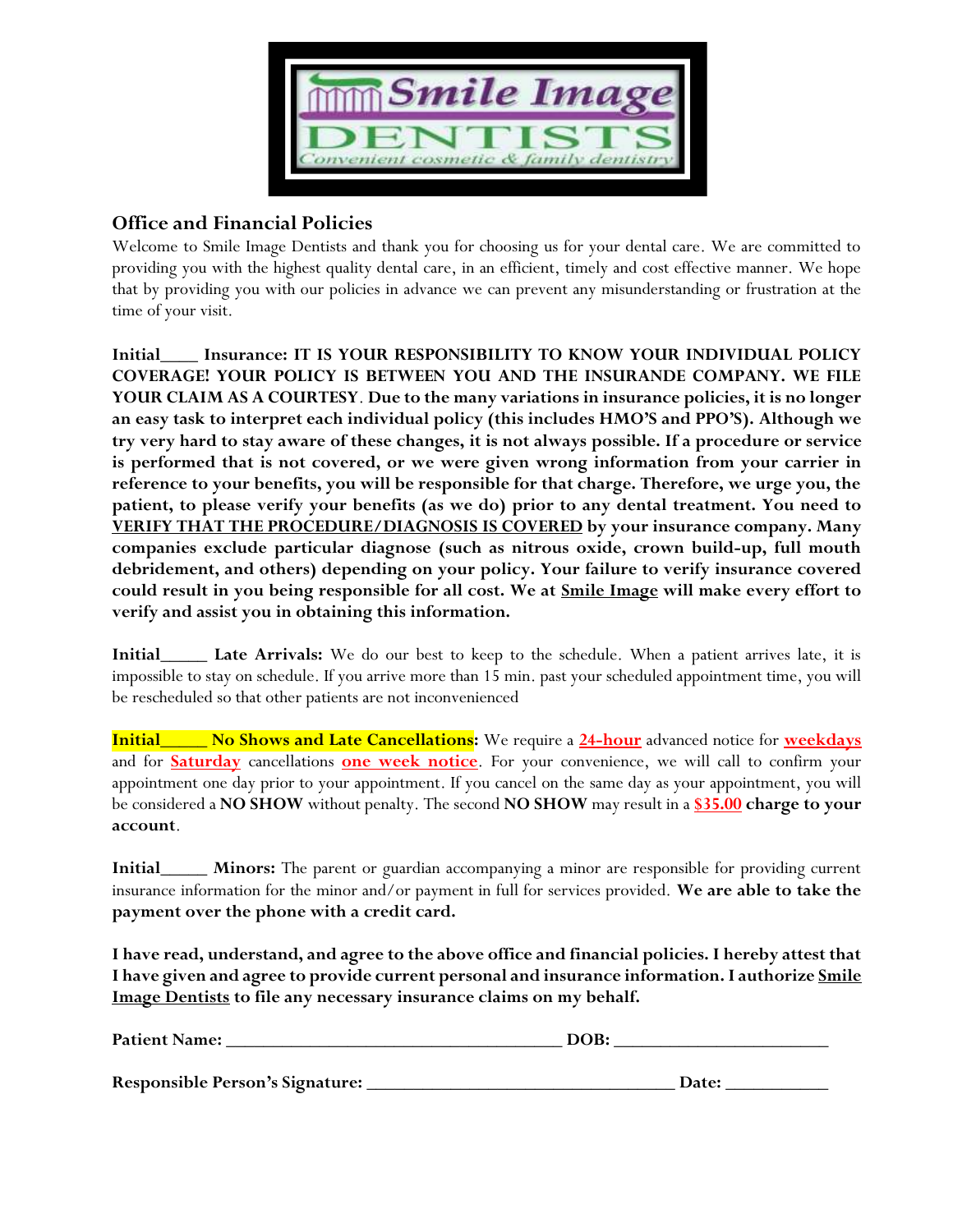

## **Office and Financial Policies**

Welcome to Smile Image Dentists and thank you for choosing us for your dental care. We are committed to providing you with the highest quality dental care, in an efficient, timely and cost effective manner. We hope that by providing you with our policies in advance we can prevent any misunderstanding or frustration at the time of your visit.

**Initial\_\_\_\_ Insurance: IT IS YOUR RESPONSIBILITY TO KNOW YOUR INDIVIDUAL POLICY COVERAGE! YOUR POLICY IS BETWEEN YOU AND THE INSURANDE COMPANY. WE FILE YOUR CLAIM AS A COURTESY**. **Due to the many variations in insurance policies, it is no longer an easy task to interpret each individual policy (this includes HMO'S and PPO'S). Although we try very hard to stay aware of these changes, it is not always possible. If a procedure or service is performed that is not covered, or we were given wrong information from your carrier in reference to your benefits, you will be responsible for that charge. Therefore, we urge you, the patient, to please verify your benefits (as we do) prior to any dental treatment. You need to VERIFY THAT THE PROCEDURE/DIAGNOSIS IS COVERED by your insurance company. Many companies exclude particular diagnose (such as nitrous oxide, crown build-up, full mouth debridement, and others) depending on your policy. Your failure to verify insurance covered could result in you being responsible for all cost. We at Smile Image will make every effort to verify and assist you in obtaining this information.**

**Initial\_\_\_\_\_ Late Arrivals:** We do our best to keep to the schedule. When a patient arrives late, it is impossible to stay on schedule. If you arrive more than 15 min. past your scheduled appointment time, you will be rescheduled so that other patients are not inconvenienced

**Initial\_\_\_\_\_ No Shows and Late Cancellations:** We require a **24-hour** advanced notice for **weekdays** and for **Saturday** cancellations **one week notice**. For your convenience, we will call to confirm your appointment one day prior to your appointment. If you cancel on the same day as your appointment, you will be considered a **NO SHOW** without penalty. The second **NO SHOW** may result in a **\$35.00 charge to your account**.

**Initial\_\_\_\_\_ Minors:** The parent or guardian accompanying a minor are responsible for providing current insurance information for the minor and/or payment in full for services provided. **We are able to take the payment over the phone with a credit card.**

**I have read, understand, and agree to the above office and financial policies. I hereby attest that I have given and agree to provide current personal and insurance information. I authorize Smile Image Dentists to file any necessary insurance claims on my behalf.** 

| <b>Patient Name:</b>                   | DOB:  |  |  |
|----------------------------------------|-------|--|--|
|                                        |       |  |  |
| <b>Responsible Person's Signature:</b> | Date: |  |  |